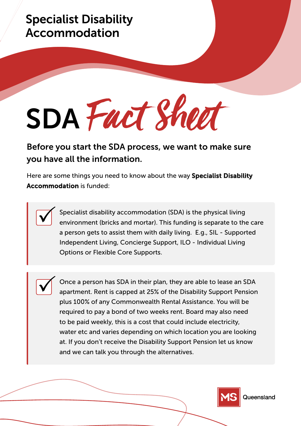## Specialist Disability Accommodation

SDA Fact Sheet

Before you start the SDA process, we want to make sure you have all the information.

Here are some things you need to know about the way **Specialist Disability** Accommodation is funded:

> Specialist disability accommodation (SDA) is the physical living environment (bricks and mortar). This funding is separate to the care a person gets to assist them with daily living. E.g., SIL - Supported Independent Living, Concierge Support, ILO - Individual Living Options or Flexible Core Supports.

Once a person has SDA in their plan, they are able to lease an SDA apartment. Rent is capped at 25% of the Disability Support Pension plus 100% of any Commonwealth Rental Assistance. You will be required to pay a bond of two weeks rent. Board may also need to be paid weekly, this is a cost that could include electricity, water etc and varies depending on which location you are looking at. If you don't receive the Disability Support Pension let us know and we can talk you through the alternatives.